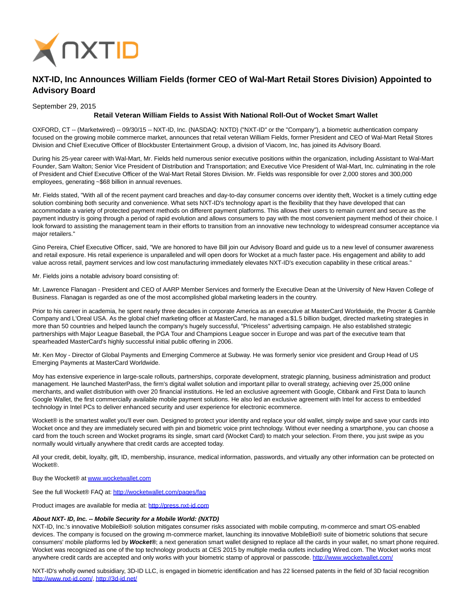

## **NXT-ID, Inc Announces William Fields (former CEO of Wal-Mart Retail Stores Division) Appointed to Advisory Board**

September 29, 2015

## **Retail Veteran William Fields to Assist With National Roll-Out of Wocket Smart Wallet**

OXFORD, CT -- (Marketwired) -- 09/30/15 -- NXT-ID, Inc. (NASDAQ: NXTD) ("NXT-ID" or the "Company"), a biometric authentication company focused on the growing mobile commerce market, announces that retail veteran William Fields, former President and CEO of Wal-Mart Retail Stores Division and Chief Executive Officer of Blockbuster Entertainment Group, a division of Viacom, Inc, has joined its Advisory Board.

During his 25-year career with Wal-Mart, Mr. Fields held numerous senior executive positions within the organization, including Assistant to Wal-Mart Founder, Sam Walton; Senior Vice President of Distribution and Transportation; and Executive Vice President of Wal-Mart, Inc. culminating in the role of President and Chief Executive Officer of the Wal-Mart Retail Stores Division. Mr. Fields was responsible for over 2,000 stores and 300,000 employees, generating ~\$68 billion in annual revenues.

Mr. Fields stated, "With all of the recent payment card breaches and day-to-day consumer concerns over identity theft, Wocket is a timely cutting edge solution combining both security and convenience. What sets NXT-ID's technology apart is the flexibility that they have developed that can accommodate a variety of protected payment methods on different payment platforms. This allows their users to remain current and secure as the payment industry is going through a period of rapid evolution and allows consumers to pay with the most convenient payment method of their choice. I look forward to assisting the management team in their efforts to transition from an innovative new technology to widespread consumer acceptance via major retailers."

Gino Pereira, Chief Executive Officer, said, "We are honored to have Bill join our Advisory Board and guide us to a new level of consumer awareness and retail exposure. His retail experience is unparalleled and will open doors for Wocket at a much faster pace. His engagement and ability to add value across retail, payment services and low cost manufacturing immediately elevates NXT-ID's execution capability in these critical areas."

Mr. Fields joins a notable advisory board consisting of:

Mr. Lawrence Flanagan - President and CEO of AARP Member Services and formerly the Executive Dean at the University of New Haven College of Business. Flanagan is regarded as one of the most accomplished global marketing leaders in the country.

Prior to his career in academia, he spent nearly three decades in corporate America as an executive at MasterCard Worldwide, the Procter & Gamble Company and L'Oreal USA. As the global chief marketing officer at MasterCard, he managed a \$1.5 billion budget, directed marketing strategies in more than 50 countries and helped launch the company's hugely successful, "Priceless" advertising campaign. He also established strategic partnerships with Major League Baseball, the PGA Tour and Champions League soccer in Europe and was part of the executive team that spearheaded MasterCard's highly successful initial public offering in 2006.

Mr. Ken Moy - Director of Global Payments and Emerging Commerce at Subway. He was formerly senior vice president and Group Head of US Emerging Payments at MasterCard Worldwide.

Moy has extensive experience in large-scale rollouts, partnerships, corporate development, strategic planning, business administration and product management. He launched MasterPass, the firm's digital wallet solution and important pillar to overall strategy, achieving over 25,000 online merchants, and wallet distribution with over 20 financial institutions. He led an exclusive agreement with Google, Citibank and First Data to launch Google Wallet, the first commercially available mobile payment solutions. He also led an exclusive agreement with Intel for access to embedded technology in Intel PCs to deliver enhanced security and user experience for electronic ecommerce.

Wocket® is the smartest wallet you'll ever own. Designed to protect your identity and replace your old wallet, simply swipe and save your cards into Wocket once and they are immediately secured with pin and biometric voice print technology. Without ever needing a smartphone, you can choose a card from the touch screen and Wocket programs its single, smart card (Wocket Card) to match your selection. From there, you just swipe as you normally would virtually anywhere that credit cards are accepted today.

All your credit, debit, loyalty, gift, ID, membership, insurance, medical information, passwords, and virtually any other information can be protected on Wocket®.

Buy the Wocket® a[t www.wocketwallet.com](http://www.wocketwallet.com/)

See the full Wocket® FAQ at:<http://wocketwallet.com/pages/faq>

Product images are available for media at: [http://press.nxt-id.com](http://press.nxt-id.com/)

## **About NXT- ID, Inc. -- Mobile Security for a Mobile World: (NXTD)**

NXT-ID, Inc.'s innovative MobileBio® solution mitigates consumer risks associated with mobile computing, m-commerce and smart OS-enabled devices. The company is focused on the growing m-commerce market, launching its innovative MobileBio® suite of biometric solutions that secure consumers' mobile platforms led by **Wocket®**; a next generation smart wallet designed to replace all the cards in your wallet, no smart phone required. Wocket was recognized as one of the top technology products at CES 2015 by multiple media outlets including Wired.com. The Wocket works most anywhere credit cards are accepted and only works with your biometric stamp of approval or passcode.<http://www.wocketwallet.com/>

NXT-ID's wholly owned subsidiary, 3D-ID LLC, is engaged in biometric identification and has 22 licensed patents in the field of 3D facial recognition [http://www.nxt-id.com/,](http://www.nxt-id.com/)<http://3d-id.net/>